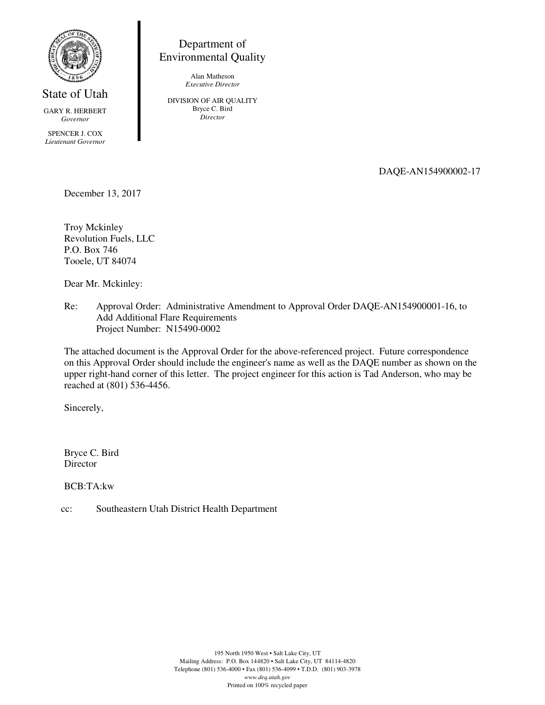

State of Utah

GARY R. HERBERT *Governor* 

SPENCER J. COX *Lieutenant Governor*

Department of Environmental Quality

> Alan Matheson *Executive Director*

DIVISION OF AIR QUALITY Bryce C. Bird *Director* 

DAQE-AN154900002-17

December 13, 2017

Troy Mckinley Revolution Fuels, LLC P.O. Box 746 Tooele, UT 84074

Dear Mr. Mckinley:

Re: Approval Order: Administrative Amendment to Approval Order DAQE-AN154900001-16, to Add Additional Flare Requirements Project Number: N15490-0002

The attached document is the Approval Order for the above-referenced project. Future correspondence on this Approval Order should include the engineer's name as well as the DAQE number as shown on the upper right-hand corner of this letter. The project engineer for this action is Tad Anderson, who may be reached at (801) 536-4456.

Sincerely,

Bryce C. Bird Director

BCB:TA:kw

cc: Southeastern Utah District Health Department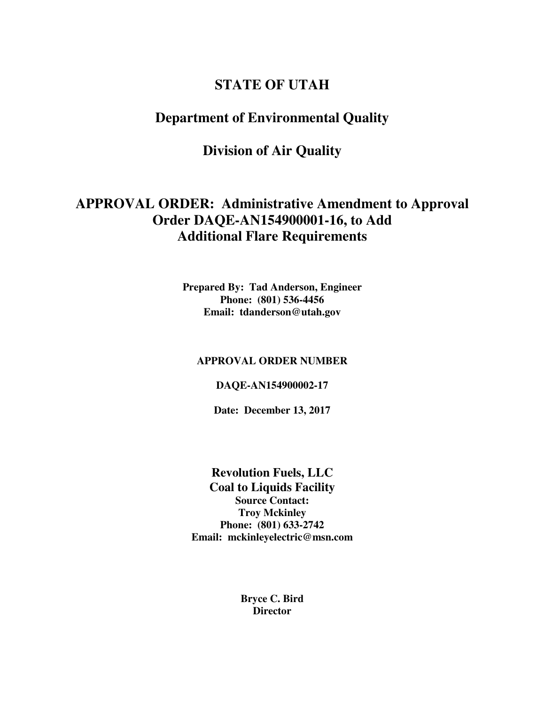# **STATE OF UTAH**

# **Department of Environmental Quality**

# **Division of Air Quality**

# **APPROVAL ORDER: Administrative Amendment to Approval Order DAQE-AN154900001-16, to Add Additional Flare Requirements**

**Prepared By: Tad Anderson, Engineer Phone: (801) 536-4456 Email: tdanderson@utah.gov** 

## **APPROVAL ORDER NUMBER**

## **DAQE-AN154900002-17**

**Date: December 13, 2017** 

**Revolution Fuels, LLC Coal to Liquids Facility Source Contact: Troy Mckinley Phone: (801) 633-2742 Email: mckinleyelectric@msn.com** 

> **Bryce C. Bird Director**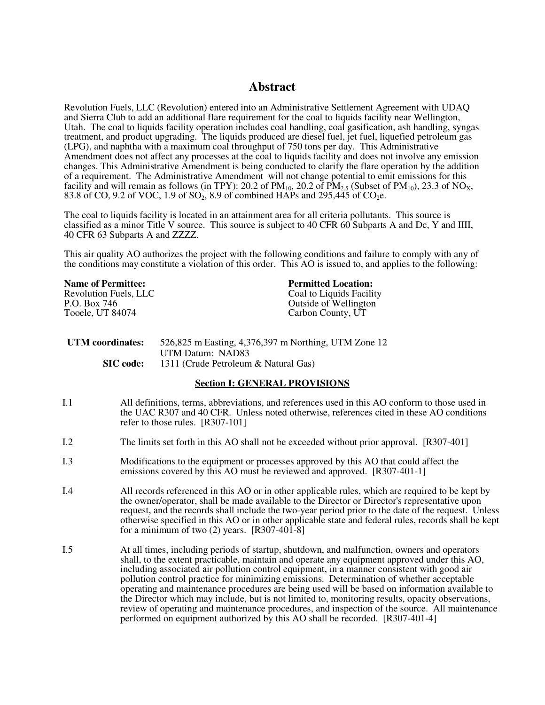## **Abstract**

Revolution Fuels, LLC (Revolution) entered into an Administrative Settlement Agreement with UDAQ and Sierra Club to add an additional flare requirement for the coal to liquids facility near Wellington, Utah. The coal to liquids facility operation includes coal handling, coal gasification, ash handling, syngas treatment, and product upgrading. The liquids produced are diesel fuel, jet fuel, liquefied petroleum gas (LPG), and naphtha with a maximum coal throughput of 750 tons per day. This Administrative Amendment does not affect any processes at the coal to liquids facility and does not involve any emission changes. This Administrative Amendment is being conducted to clarify the flare operation by the addition of a requirement. The Administrative Amendment will not change potential to emit emissions for this facility and will remain as follows (in TPY): 20.2 of  $PM_{10}$ , 20.2 of  $PM_{2.5}$  (Subset of  $PM_{10}$ ), 23.3 of NO<sub>X</sub>, 83.8 of CO, 9.2 of VOC, 1.9 of SO<sub>2</sub>, 8.9 of combined HAPs and 295,445 of CO<sub>2</sub>e.

The coal to liquids facility is located in an attainment area for all criteria pollutants. This source is classified as a minor Title V source. This source is subject to 40 CFR 60 Subparts A and Dc, Y and IIII, 40 CFR 63 Subparts A and ZZZZ.

This air quality AO authorizes the project with the following conditions and failure to comply with any of the conditions may constitute a violation of this order. This AO is issued to, and applies to the following:

| <b>Name of Permittee:</b> |
|---------------------------|
| Revolution Fuels, LLC     |
| P.O. Box 746              |
| Tooele, UT 84074          |

#### **Permitted Location:**

Coal to Liquids Facility Outside of Wellington Carbon County, UT

| UTM coordinates: | 526,825 m Easting, 4,376,397 m Northing, UTM Zone 12 |
|------------------|------------------------------------------------------|
|                  | UTM Datum: NAD83                                     |
| <b>SIC</b> code: | 1311 (Crude Petroleum & Natural Gas)                 |

#### **Section I: GENERAL PROVISIONS**

- I.1 All definitions, terms, abbreviations, and references used in this AO conform to those used in the UAC R307 and 40 CFR. Unless noted otherwise, references cited in these AO conditions refer to those rules. [R307-101]
- I.2 The limits set forth in this AO shall not be exceeded without prior approval. [R307-401]
- I.3 Modifications to the equipment or processes approved by this AO that could affect the emissions covered by this AO must be reviewed and approved. [R307-401-1]
- I.4 All records referenced in this AO or in other applicable rules, which are required to be kept by the owner/operator, shall be made available to the Director or Director's representative upon request, and the records shall include the two-year period prior to the date of the request. Unless otherwise specified in this AO or in other applicable state and federal rules, records shall be kept for a minimum of two  $(2)$  years.  $[R307-401-8]$
- I.5 At all times, including periods of startup, shutdown, and malfunction, owners and operators shall, to the extent practicable, maintain and operate any equipment approved under this AO, including associated air pollution control equipment, in a manner consistent with good air pollution control practice for minimizing emissions. Determination of whether acceptable operating and maintenance procedures are being used will be based on information available to the Director which may include, but is not limited to, monitoring results, opacity observations, review of operating and maintenance procedures, and inspection of the source. All maintenance performed on equipment authorized by this AO shall be recorded. [R307-401-4]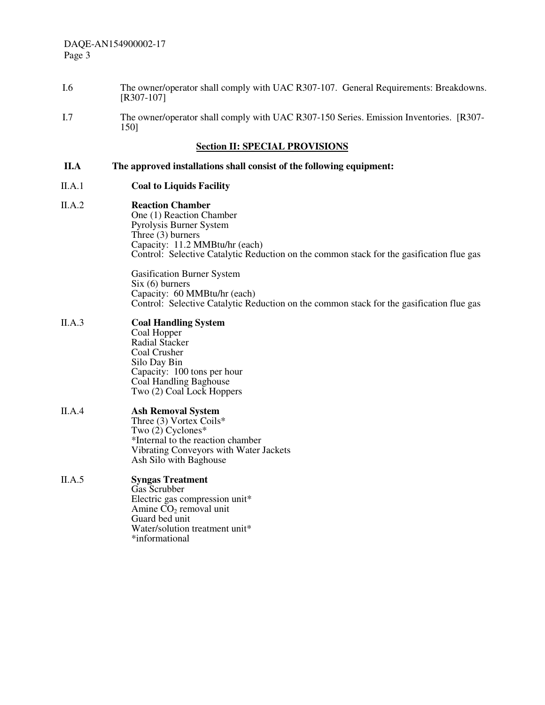- I.6 The owner/operator shall comply with UAC R307-107. General Requirements: Breakdowns. [R307-107]
- I.7 The owner/operator shall comply with UAC R307-150 Series. Emission Inventories. [R307- 150]

## **Section II: SPECIAL PROVISIONS**

## **II.A The approved installations shall consist of the following equipment:**

- II.A.1 **Coal to Liquids Facility**
- II.A.2 **Reaction Chamber** One (1) Reaction Chamber Pyrolysis Burner System Three (3) burners Capacity: 11.2 MMBtu/hr (each) Control: Selective Catalytic Reduction on the common stack for the gasification flue gas

Gasification Burner System Six (6) burners Capacity: 60 MMBtu/hr (each) Control: Selective Catalytic Reduction on the common stack for the gasification flue gas

#### II.A.3 **Coal Handling System** Coal Hopper Radial Stacker Coal Crusher Silo Day Bin

Capacity: 100 tons per hour Coal Handling Baghouse Two (2) Coal Lock Hoppers II.A.4 **Ash Removal System**

Three (3) Vortex Coils\* Two (2) Cyclones\* \*Internal to the reaction chamber Vibrating Conveyors with Water Jackets Ash Silo with Baghouse

#### II.A.5 **Syngas Treatment** Gas Scrubber Electric gas compression unit\* Amine  $CO<sub>2</sub>$  removal unit Guard bed unit Water/solution treatment unit\*

\*informational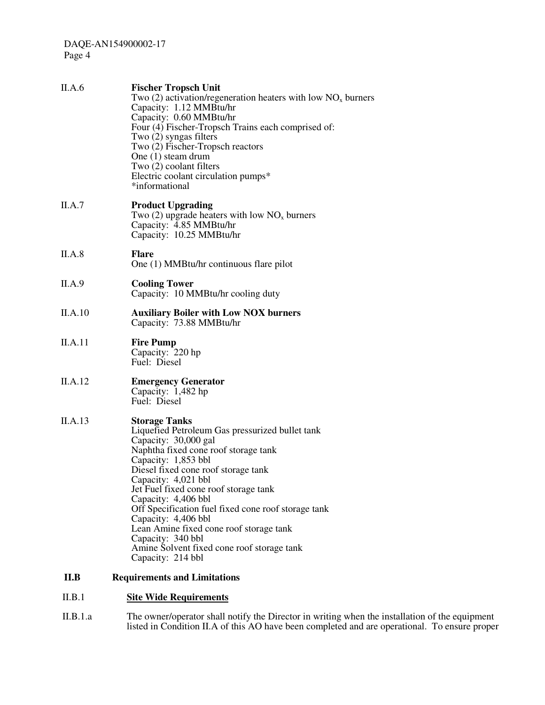| II.A.6  | <b>Fischer Tropsch Unit</b><br>Two (2) activation/regeneration heaters with low $NOx$ burners<br>Capacity: 1.12 MMBtu/hr<br>Capacity: 0.60 MMBtu/hr<br>Four (4) Fischer-Tropsch Trains each comprised of:<br>Two (2) syngas filters<br>Two (2) Fischer-Tropsch reactors<br>One $(1)$ steam drum<br>Two (2) coolant filters<br>Electric coolant circulation pumps*<br>*informational                                                                                                                           |
|---------|---------------------------------------------------------------------------------------------------------------------------------------------------------------------------------------------------------------------------------------------------------------------------------------------------------------------------------------------------------------------------------------------------------------------------------------------------------------------------------------------------------------|
| II.A.7  | <b>Product Upgrading</b><br>Two (2) upgrade heaters with low $NO_x$ burners<br>Capacity: 4.85 MMBtu/hr<br>Capacity: 10.25 MMBtu/hr                                                                                                                                                                                                                                                                                                                                                                            |
| II.A.8  | <b>Flare</b><br>One (1) MMBtu/hr continuous flare pilot                                                                                                                                                                                                                                                                                                                                                                                                                                                       |
| II.A.9  | <b>Cooling Tower</b><br>Capacity: 10 MMBtu/hr cooling duty                                                                                                                                                                                                                                                                                                                                                                                                                                                    |
| II.A.10 | <b>Auxiliary Boiler with Low NOX burners</b><br>Capacity: 73.88 MMBtu/hr                                                                                                                                                                                                                                                                                                                                                                                                                                      |
| II.A.11 | <b>Fire Pump</b><br>Capacity: 220 hp<br>Fuel: Diesel                                                                                                                                                                                                                                                                                                                                                                                                                                                          |
| II.A.12 | <b>Emergency Generator</b><br>Capacity: 1,482 hp<br>Fuel: Diesel                                                                                                                                                                                                                                                                                                                                                                                                                                              |
| II.A.13 | <b>Storage Tanks</b><br>Liquefied Petroleum Gas pressurized bullet tank<br>Capacity: 30,000 gal<br>Naphtha fixed cone roof storage tank<br>Capacity: 1,853 bbl<br>Diesel fixed cone roof storage tank<br>Capacity: 4,021 bbl<br>Jet Fuel fixed cone roof storage tank<br>Capacity: 4,406 bbl<br>Off Specification fuel fixed cone roof storage tank<br>Capacity: 4,406 bbl<br>Lean Amine fixed cone roof storage tank<br>Capacity: 340 bbl<br>Amine Solvent fixed cone roof storage tank<br>Capacity: 214 bbl |
| II.B    | <b>Requirements and Limitations</b>                                                                                                                                                                                                                                                                                                                                                                                                                                                                           |

## II.B.1 **Site Wide Requirements**

II.B.1.a The owner/operator shall notify the Director in writing when the installation of the equipment listed in Condition II.A of this AO have been completed and are operational. To ensure proper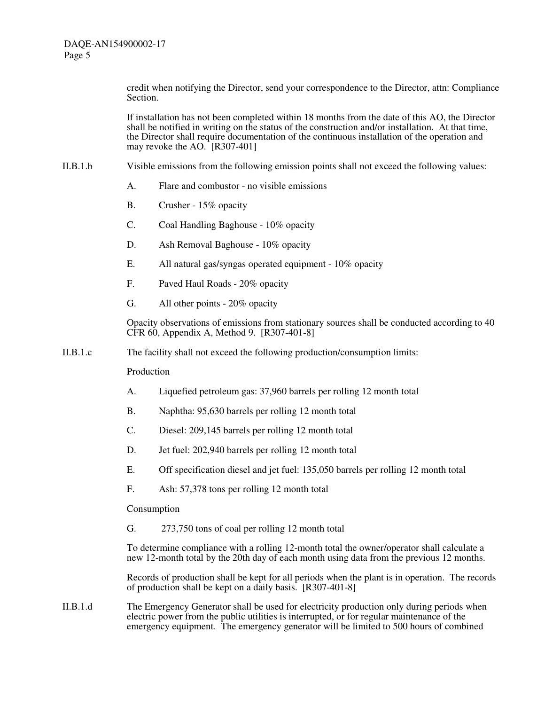> credit when notifying the Director, send your correspondence to the Director, attn: Compliance Section.

> If installation has not been completed within 18 months from the date of this AO, the Director shall be notified in writing on the status of the construction and/or installation. At that time, the Director shall require documentation of the continuous installation of the operation and may revoke the AO.  $[R307-401]$

- II.B.1.b Visible emissions from the following emission points shall not exceed the following values:
	- A. Flare and combustor no visible emissions
	- B. Crusher 15% opacity
	- C. Coal Handling Baghouse 10% opacity
	- D. Ash Removal Baghouse 10% opacity
	- E. All natural gas/syngas operated equipment 10% opacity
	- F. Paved Haul Roads 20% opacity
	- G. All other points 20% opacity

Opacity observations of emissions from stationary sources shall be conducted according to 40 CFR 60, Appendix A, Method 9. [R307-401-8]

II.B.1.c The facility shall not exceed the following production/consumption limits:

Production

- A. Liquefied petroleum gas: 37,960 barrels per rolling 12 month total
- B. Naphtha: 95,630 barrels per rolling 12 month total
- C. Diesel: 209,145 barrels per rolling 12 month total
- D. Jet fuel: 202,940 barrels per rolling 12 month total
- E. Off specification diesel and jet fuel: 135,050 barrels per rolling 12 month total
- F. Ash: 57,378 tons per rolling 12 month total

Consumption

G. 273,750 tons of coal per rolling 12 month total

To determine compliance with a rolling 12-month total the owner/operator shall calculate a new 12-month total by the 20th day of each month using data from the previous 12 months.

Records of production shall be kept for all periods when the plant is in operation. The records of production shall be kept on a daily basis. [R307-401-8]

II.B.1.d The Emergency Generator shall be used for electricity production only during periods when electric power from the public utilities is interrupted, or for regular maintenance of the emergency equipment. The emergency generator will be limited to 500 hours of combined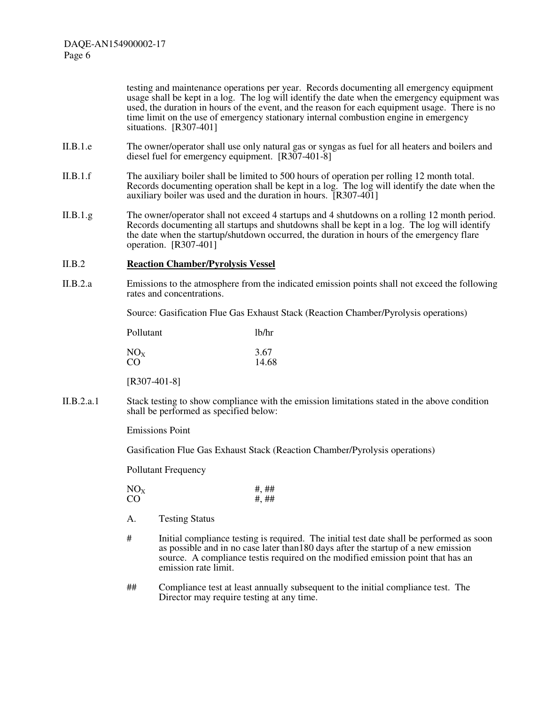testing and maintenance operations per year. Records documenting all emergency equipment usage shall be kept in a log. The log will identify the date when the emergency equipment was used, the duration in hours of the event, and the reason for each equipment usage. There is no time limit on the use of emergency stationary internal combustion engine in emergency situations. [R307-401]

- II.B.1.e The owner/operator shall use only natural gas or syngas as fuel for all heaters and boilers and diesel fuel for emergency equipment. [R307-401-8]
- II.B.1.f The auxiliary boiler shall be limited to 500 hours of operation per rolling 12 month total. Records documenting operation shall be kept in a log. The log will identify the date when the auxiliary boiler was used and the duration in hours. [R307-401]
- II.B.1.g The owner/operator shall not exceed 4 startups and 4 shutdowns on a rolling 12 month period. Records documenting all startups and shutdowns shall be kept in a log. The log will identify the date when the startup/shutdown occurred, the duration in hours of the emergency flare operation. [R307-401]

#### II.B.2 **Reaction Chamber/Pyrolysis Vessel**

II.B.2.a Emissions to the atmosphere from the indicated emission points shall not exceed the following rates and concentrations.

Source: Gasification Flue Gas Exhaust Stack (Reaction Chamber/Pyrolysis operations)

| Pollutant       | 1 <sub>b</sub> /hr |
|-----------------|--------------------|
| NO <sub>x</sub> | 3.67               |
| CO              | 14.68              |

[R307-401-8]

II.B.2.a.1 Stack testing to show compliance with the emission limitations stated in the above condition shall be performed as specified below:

Emissions Point

Gasification Flue Gas Exhaust Stack (Reaction Chamber/Pyrolysis operations)

Pollutant Frequency

| NO <sub>x</sub> | #, ## |
|-----------------|-------|
| CO              | #, ## |

- A. Testing Status
- # Initial compliance testing is required. The initial test date shall be performed as soon as possible and in no case later than180 days after the startup of a new emission source. A compliance testis required on the modified emission point that has an emission rate limit.
- ## Compliance test at least annually subsequent to the initial compliance test. The Director may require testing at any time.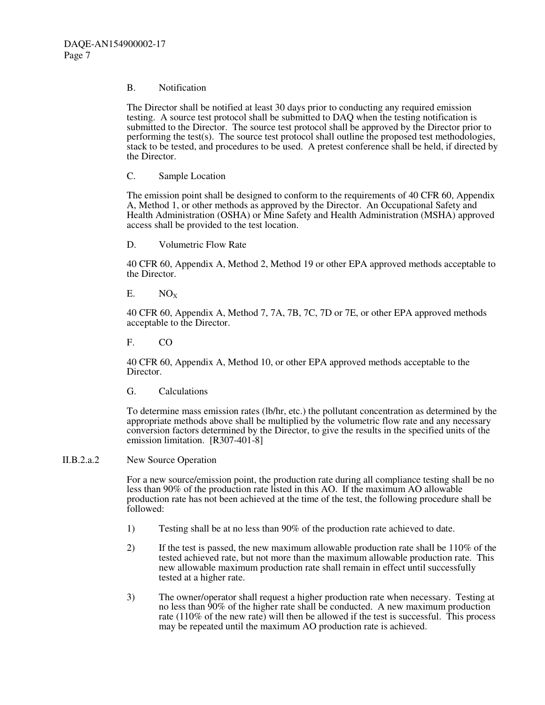### B. Notification

The Director shall be notified at least 30 days prior to conducting any required emission testing. A source test protocol shall be submitted to DAQ when the testing notification is submitted to the Director. The source test protocol shall be approved by the Director prior to performing the test(s). The source test protocol shall outline the proposed test methodologies, stack to be tested, and procedures to be used. A pretest conference shall be held, if directed by the Director.

C. Sample Location

The emission point shall be designed to conform to the requirements of 40 CFR 60, Appendix A, Method 1, or other methods as approved by the Director. An Occupational Safety and Health Administration (OSHA) or Mine Safety and Health Administration (MSHA) approved access shall be provided to the test location.

D. Volumetric Flow Rate

40 CFR 60, Appendix A, Method 2, Method 19 or other EPA approved methods acceptable to the Director.

 $E.$  NO<sub>x</sub>

40 CFR 60, Appendix A, Method 7, 7A, 7B, 7C, 7D or 7E, or other EPA approved methods acceptable to the Director.

F. CO

40 CFR 60, Appendix A, Method 10, or other EPA approved methods acceptable to the Director.

G. Calculations

To determine mass emission rates (lb/hr, etc.) the pollutant concentration as determined by the appropriate methods above shall be multiplied by the volumetric flow rate and any necessary conversion factors determined by the Director, to give the results in the specified units of the emission limitation. [R307-401-8]

II.B.2.a.2 New Source Operation

For a new source/emission point, the production rate during all compliance testing shall be no less than 90% of the production rate listed in this AO. If the maximum AO allowable production rate has not been achieved at the time of the test, the following procedure shall be followed:

- 1) Testing shall be at no less than 90% of the production rate achieved to date.
- 2) If the test is passed, the new maximum allowable production rate shall be 110% of the tested achieved rate, but not more than the maximum allowable production rate. This new allowable maximum production rate shall remain in effect until successfully tested at a higher rate.
- 3) The owner/operator shall request a higher production rate when necessary. Testing at no less than 90% of the higher rate shall be conducted. A new maximum production rate (110% of the new rate) will then be allowed if the test is successful. This process may be repeated until the maximum AO production rate is achieved.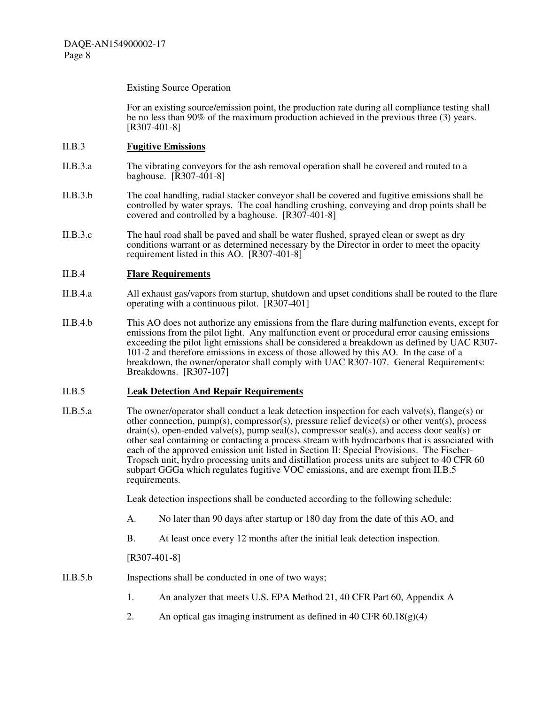### Existing Source Operation

For an existing source/emission point, the production rate during all compliance testing shall be no less than 90% of the maximum production achieved in the previous three (3) years. [R307-401-8]

## II.B.3 **Fugitive Emissions**

- II.B.3.a The vibrating conveyors for the ash removal operation shall be covered and routed to a baghouse. [R307-401-8]
- II.B.3.b The coal handling, radial stacker conveyor shall be covered and fugitive emissions shall be controlled by water sprays. The coal handling crushing, conveying and drop points shall be covered and controlled by a baghouse. [R307-401-8]
- II.B.3.c The haul road shall be paved and shall be water flushed, sprayed clean or swept as dry conditions warrant or as determined necessary by the Director in order to meet the opacity requirement listed in this AO. [R307-401-8]

## II.B.4 **Flare Requirements**

- II.B.4.a All exhaust gas/vapors from startup, shutdown and upset conditions shall be routed to the flare operating with a continuous pilot. [R307-401]
- II.B.4.b This AO does not authorize any emissions from the flare during malfunction events, except for emissions from the pilot light. Any malfunction event or procedural error causing emissions exceeding the pilot light emissions shall be considered a breakdown as defined by UAC R307- 101-2 and therefore emissions in excess of those allowed by this AO. In the case of a breakdown, the owner/operator shall comply with UAC R307-107. General Requirements: Breakdowns. [R307-107]

## II.B.5 **Leak Detection And Repair Requirements**

II.B.5.a The owner/operator shall conduct a leak detection inspection for each valve(s), flange(s) or other connection, pump(s), compressor(s), pressure relief device(s) or other vent(s), process  $drain(s)$ , open-ended valve $(s)$ , pump seal $(s)$ , compressor seal $(s)$ , and access door seal $(s)$  or other seal containing or contacting a process stream with hydrocarbons that is associated with each of the approved emission unit listed in Section II: Special Provisions. The Fischer-Tropsch unit, hydro processing units and distillation process units are subject to 40 CFR 60 subpart GGGa which regulates fugitive VOC emissions, and are exempt from II.B.5 requirements.

Leak detection inspections shall be conducted according to the following schedule:

- A. No later than 90 days after startup or 180 day from the date of this AO, and
- B. At least once every 12 months after the initial leak detection inspection.

[R307-401-8]

- II.B.5.b Inspections shall be conducted in one of two ways;
	- 1. An analyzer that meets U.S. EPA Method 21, 40 CFR Part 60, Appendix A
	- 2. An optical gas imaging instrument as defined in  $40 \text{ CFR } 60.18(g)(4)$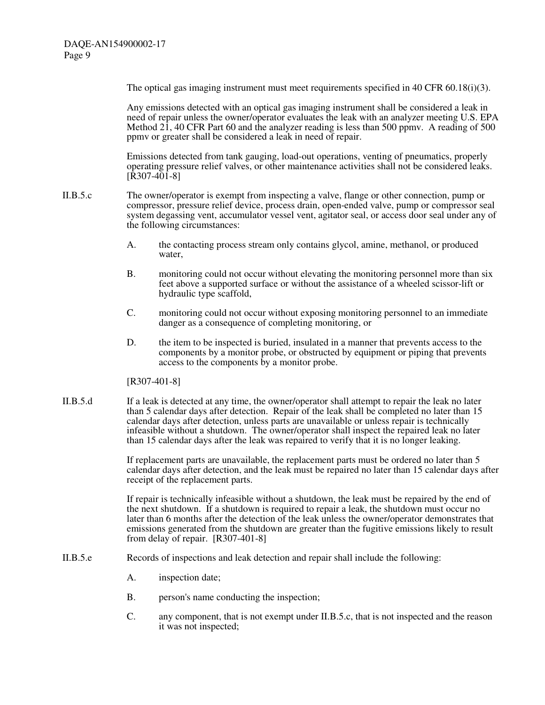The optical gas imaging instrument must meet requirements specified in 40 CFR 60.18(i)(3).

Any emissions detected with an optical gas imaging instrument shall be considered a leak in need of repair unless the owner/operator evaluates the leak with an analyzer meeting U.S. EPA Method 21, 40 CFR Part 60 and the analyzer reading is less than 500 ppmv. A reading of 500 ppmv or greater shall be considered a leak in need of repair.

Emissions detected from tank gauging, load-out operations, venting of pneumatics, properly operating pressure relief valves, or other maintenance activities shall not be considered leaks.  $[R307-401-8]$ 

- II.B.5.c The owner/operator is exempt from inspecting a valve, flange or other connection, pump or compressor, pressure relief device, process drain, open-ended valve, pump or compressor seal system degassing vent, accumulator vessel vent, agitator seal, or access door seal under any of the following circumstances:
	- A. the contacting process stream only contains glycol, amine, methanol, or produced water,
	- B. monitoring could not occur without elevating the monitoring personnel more than six feet above a supported surface or without the assistance of a wheeled scissor-lift or hydraulic type scaffold,
	- C. monitoring could not occur without exposing monitoring personnel to an immediate danger as a consequence of completing monitoring, or
	- D. the item to be inspected is buried, insulated in a manner that prevents access to the components by a monitor probe, or obstructed by equipment or piping that prevents access to the components by a monitor probe.

[R307-401-8]

II.B.5.d If a leak is detected at any time, the owner/operator shall attempt to repair the leak no later than 5 calendar days after detection. Repair of the leak shall be completed no later than 15 calendar days after detection, unless parts are unavailable or unless repair is technically infeasible without a shutdown. The owner/operator shall inspect the repaired leak no later than 15 calendar days after the leak was repaired to verify that it is no longer leaking.

> If replacement parts are unavailable, the replacement parts must be ordered no later than 5 calendar days after detection, and the leak must be repaired no later than 15 calendar days after receipt of the replacement parts.

If repair is technically infeasible without a shutdown, the leak must be repaired by the end of the next shutdown. If a shutdown is required to repair a leak, the shutdown must occur no later than 6 months after the detection of the leak unless the owner/operator demonstrates that emissions generated from the shutdown are greater than the fugitive emissions likely to result from delay of repair. [R307-401-8]

- II.B.5.e Records of inspections and leak detection and repair shall include the following:
	- A. inspection date;
	- B. person's name conducting the inspection;
	- C. any component, that is not exempt under II.B.5.c, that is not inspected and the reason it was not inspected;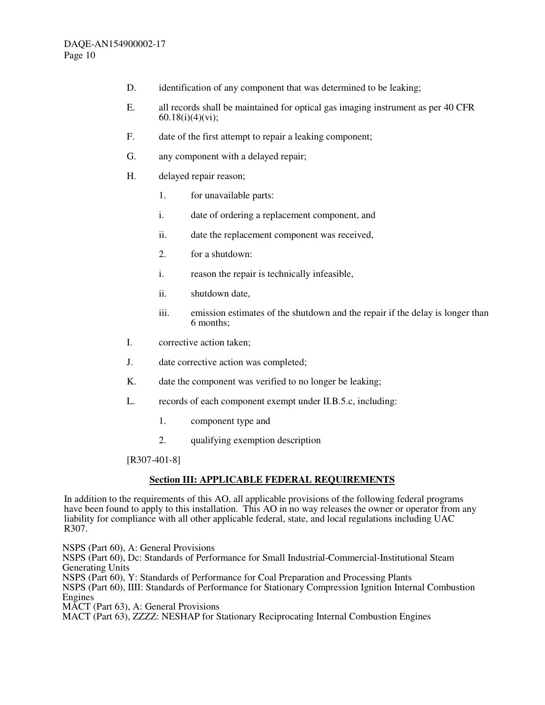- D. identification of any component that was determined to be leaking;
- E. all records shall be maintained for optical gas imaging instrument as per 40 CFR 60.18(i)(4)(vi);
- F. date of the first attempt to repair a leaking component;
- G. any component with a delayed repair;
- H. delayed repair reason;
	- 1. for unavailable parts:
	- i. date of ordering a replacement component, and
	- ii. date the replacement component was received,
	- 2. for a shutdown:
	- i. reason the repair is technically infeasible,
	- ii. shutdown date,
	- iii. emission estimates of the shutdown and the repair if the delay is longer than 6 months;
- I. corrective action taken;
- J. date corrective action was completed;
- K. date the component was verified to no longer be leaking;
- L. records of each component exempt under II.B.5.c, including:
	- 1. component type and
	- 2. qualifying exemption description

[R307-401-8]

## **Section III: APPLICABLE FEDERAL REQUIREMENTS**

In addition to the requirements of this AO, all applicable provisions of the following federal programs have been found to apply to this installation. This AO in no way releases the owner or operator from any liability for compliance with all other applicable federal, state, and local regulations including UAC R307.

NSPS (Part 60), A: General Provisions

NSPS (Part 60), Dc: Standards of Performance for Small Industrial-Commercial-Institutional Steam Generating Units

NSPS (Part 60), Y: Standards of Performance for Coal Preparation and Processing Plants

NSPS (Part 60), IIII: Standards of Performance for Stationary Compression Ignition Internal Combustion Engines

MACT (Part 63), A: General Provisions

MACT (Part 63), ZZZZ: NESHAP for Stationary Reciprocating Internal Combustion Engines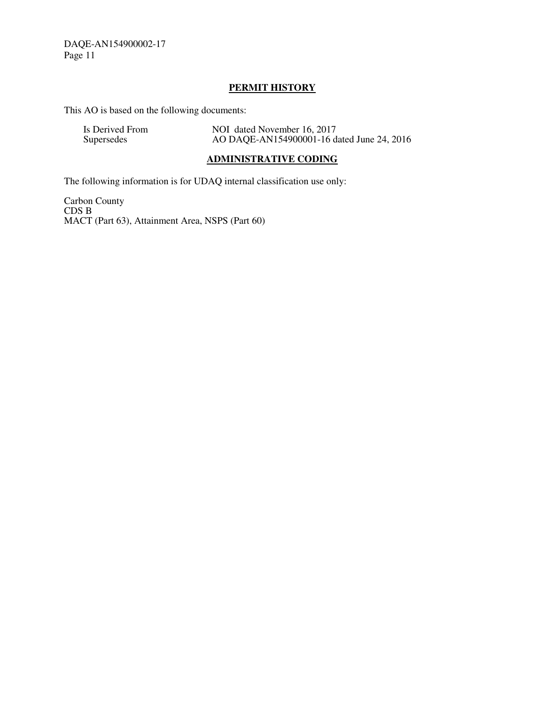## **PERMIT HISTORY**

This AO is based on the following documents:

| Is Derived From | NOI dated November 16, 2017                |
|-----------------|--------------------------------------------|
| Supersedes      | AO DAQE-AN154900001-16 dated June 24, 2016 |

## **ADMINISTRATIVE CODING**

The following information is for UDAQ internal classification use only:

Carbon County CDS B MACT (Part 63), Attainment Area, NSPS (Part 60)